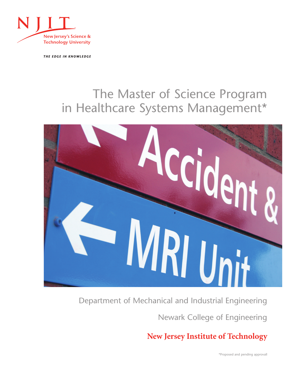

THE EDGE IN KNOWLEDGE

# The Master of Science Program in Healthcare Systems Management\*



Department of Mechanical and Industrial Engineering

Newark College of Engineering

**New Jersey Institute of Technology**